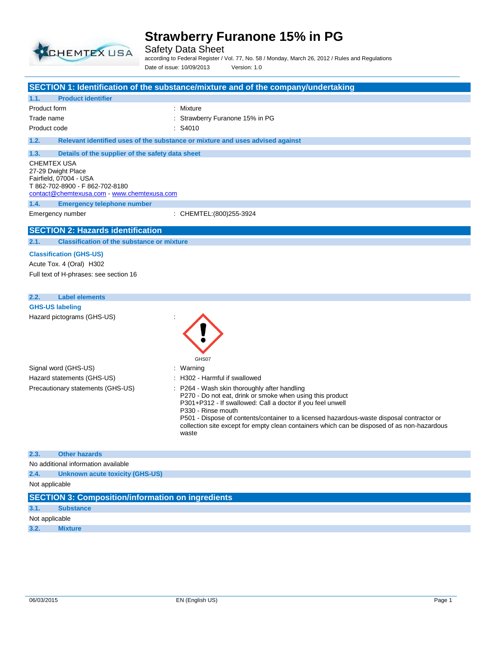

Safety Data Sheet according to Federal Register / Vol. 77, No. 58 / Monday, March 26, 2012 / Rules and Regulations Date of issue: 10/09/2013 Version: 1.0

|                                                                  | SECTION 1: Identification of the substance/mixture and of the company/undertaking                               |
|------------------------------------------------------------------|-----------------------------------------------------------------------------------------------------------------|
| <b>Product identifier</b><br>1.1.                                |                                                                                                                 |
| Product form                                                     | : Mixture                                                                                                       |
| Trade name                                                       | Strawberry Furanone 15% in PG                                                                                   |
| Product code                                                     | $:$ S4010                                                                                                       |
| 1.2.                                                             | Relevant identified uses of the substance or mixture and uses advised against                                   |
|                                                                  |                                                                                                                 |
| 1.3.                                                             | Details of the supplier of the safety data sheet                                                                |
| CHEMTEX USA<br>27-29 Dwight Place                                |                                                                                                                 |
| Fairfield, 07004 - USA                                           |                                                                                                                 |
| T 862-702-8900 - F 862-702-8180                                  |                                                                                                                 |
| contact@chemtexusa.com - www.chemtexusa.com                      |                                                                                                                 |
| 1.4.<br><b>Emergency telephone number</b>                        |                                                                                                                 |
| Emergency number                                                 | : CHEMTEL: (800) 255-3924                                                                                       |
| <b>SECTION 2: Hazards identification</b>                         |                                                                                                                 |
| 2.1.                                                             | <b>Classification of the substance or mixture</b>                                                               |
| <b>Classification (GHS-US)</b>                                   |                                                                                                                 |
| Acute Tox. 4 (Oral) H302                                         |                                                                                                                 |
| Full text of H-phrases: see section 16                           |                                                                                                                 |
|                                                                  |                                                                                                                 |
| <b>Label elements</b><br>2.2.                                    |                                                                                                                 |
| <b>GHS-US labeling</b>                                           |                                                                                                                 |
| Hazard pictograms (GHS-US)                                       |                                                                                                                 |
|                                                                  |                                                                                                                 |
|                                                                  |                                                                                                                 |
|                                                                  |                                                                                                                 |
|                                                                  | GHS07                                                                                                           |
| Signal word (GHS-US)                                             | : Warning                                                                                                       |
| Hazard statements (GHS-US)                                       | : H302 - Harmful if swallowed                                                                                   |
| Precautionary statements (GHS-US)                                | P264 - Wash skin thoroughly after handling                                                                      |
|                                                                  | P270 - Do not eat, drink or smoke when using this product                                                       |
|                                                                  | P301+P312 - If swallowed: Call a doctor if you feel unwell                                                      |
|                                                                  | P330 - Rinse mouth<br>P501 - Dispose of contents/container to a licensed hazardous-waste disposal contractor or |
|                                                                  | collection site except for empty clean containers which can be disposed of as non-hazardous                     |
|                                                                  | waste                                                                                                           |
|                                                                  |                                                                                                                 |
| 2.3.<br><b>Other hazards</b>                                     |                                                                                                                 |
| No additional information available                              |                                                                                                                 |
| 2.4.<br><b>Unknown acute toxicity (GHS-US)</b><br>Not applicable |                                                                                                                 |
|                                                                  |                                                                                                                 |
|                                                                  | <b>SECTION 3: Composition/information on ingredients</b>                                                        |
| 3.1.<br><b>Substance</b>                                         |                                                                                                                 |
| Not applicable                                                   |                                                                                                                 |
| 3.2.<br><b>Mixture</b>                                           |                                                                                                                 |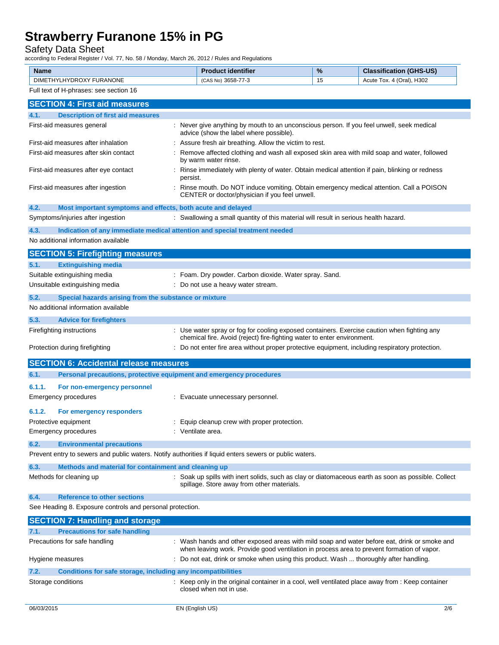### Safety Data Sheet

according to Federal Register / Vol. 77, No. 58 / Monday, March 26, 2012 / Rules and Regulations

| according to I cacial Regional / Vol. 11, No. 00 / Monday, March 20, 2012 / Raico and Regulation,<br><b>Name</b> |          | <b>Product identifier</b>                                                                                                            | %  | <b>Classification (GHS-US)</b>                                                                                                                                                             |
|------------------------------------------------------------------------------------------------------------------|----------|--------------------------------------------------------------------------------------------------------------------------------------|----|--------------------------------------------------------------------------------------------------------------------------------------------------------------------------------------------|
| DIMETHYLHYDROXY FURANONE                                                                                         |          | (CAS No) 3658-77-3                                                                                                                   | 15 | Acute Tox. 4 (Oral), H302                                                                                                                                                                  |
| Full text of H-phrases: see section 16                                                                           |          |                                                                                                                                      |    |                                                                                                                                                                                            |
| <b>SECTION 4: First aid measures</b>                                                                             |          |                                                                                                                                      |    |                                                                                                                                                                                            |
| 4.1.<br><b>Description of first aid measures</b>                                                                 |          |                                                                                                                                      |    |                                                                                                                                                                                            |
| First-aid measures general                                                                                       |          | : Never give anything by mouth to an unconscious person. If you feel unwell, seek medical<br>advice (show the label where possible). |    |                                                                                                                                                                                            |
| First-aid measures after inhalation                                                                              |          | : Assure fresh air breathing. Allow the victim to rest.                                                                              |    |                                                                                                                                                                                            |
| First-aid measures after skin contact                                                                            |          | by warm water rinse.                                                                                                                 |    | Remove affected clothing and wash all exposed skin area with mild soap and water, followed                                                                                                 |
| First-aid measures after eye contact                                                                             | persist. |                                                                                                                                      |    | Rinse immediately with plenty of water. Obtain medical attention if pain, blinking or redness                                                                                              |
| First-aid measures after ingestion                                                                               |          | CENTER or doctor/physician if you feel unwell.                                                                                       |    | Rinse mouth. Do NOT induce vomiting. Obtain emergency medical attention. Call a POISON                                                                                                     |
| 4.2.<br>Most important symptoms and effects, both acute and delayed                                              |          |                                                                                                                                      |    |                                                                                                                                                                                            |
| Symptoms/injuries after ingestion                                                                                |          | : Swallowing a small quantity of this material will result in serious health hazard.                                                 |    |                                                                                                                                                                                            |
| 4.3.<br>Indication of any immediate medical attention and special treatment needed                               |          |                                                                                                                                      |    |                                                                                                                                                                                            |
| No additional information available                                                                              |          |                                                                                                                                      |    |                                                                                                                                                                                            |
| <b>SECTION 5: Firefighting measures</b>                                                                          |          |                                                                                                                                      |    |                                                                                                                                                                                            |
| 5.1.<br><b>Extinguishing media</b>                                                                               |          |                                                                                                                                      |    |                                                                                                                                                                                            |
| Suitable extinguishing media                                                                                     |          | : Foam. Dry powder. Carbon dioxide. Water spray. Sand.                                                                               |    |                                                                                                                                                                                            |
| Unsuitable extinguishing media                                                                                   |          | : Do not use a heavy water stream.                                                                                                   |    |                                                                                                                                                                                            |
| 5.2.<br>Special hazards arising from the substance or mixture                                                    |          |                                                                                                                                      |    |                                                                                                                                                                                            |
| No additional information available                                                                              |          |                                                                                                                                      |    |                                                                                                                                                                                            |
| 5.3.<br><b>Advice for firefighters</b>                                                                           |          |                                                                                                                                      |    |                                                                                                                                                                                            |
| Firefighting instructions                                                                                        |          | chemical fire. Avoid (reject) fire-fighting water to enter environment.                                                              |    | : Use water spray or fog for cooling exposed containers. Exercise caution when fighting any                                                                                                |
| Protection during firefighting                                                                                   |          |                                                                                                                                      |    | : Do not enter fire area without proper protective equipment, including respiratory protection.                                                                                            |
| <b>SECTION 6: Accidental release measures</b>                                                                    |          |                                                                                                                                      |    |                                                                                                                                                                                            |
| 6.1.<br>Personal precautions, protective equipment and emergency procedures                                      |          |                                                                                                                                      |    |                                                                                                                                                                                            |
| 6.1.1.<br>For non-emergency personnel                                                                            |          |                                                                                                                                      |    |                                                                                                                                                                                            |
| <b>Emergency procedures</b>                                                                                      |          | Evacuate unnecessary personnel.                                                                                                      |    |                                                                                                                                                                                            |
| 6.1.2.<br>For emergency responders                                                                               |          |                                                                                                                                      |    |                                                                                                                                                                                            |
| Protective equipment                                                                                             |          | : Equip cleanup crew with proper protection.                                                                                         |    |                                                                                                                                                                                            |
| Emergency procedures                                                                                             |          | : Ventilate area.                                                                                                                    |    |                                                                                                                                                                                            |
| 6.2.<br><b>Environmental precautions</b>                                                                         |          |                                                                                                                                      |    |                                                                                                                                                                                            |
| Prevent entry to sewers and public waters. Notify authorities if liquid enters sewers or public waters.          |          |                                                                                                                                      |    |                                                                                                                                                                                            |
| 6.3.<br>Methods and material for containment and cleaning up                                                     |          |                                                                                                                                      |    |                                                                                                                                                                                            |
| Methods for cleaning up                                                                                          |          | spillage. Store away from other materials.                                                                                           |    | : Soak up spills with inert solids, such as clay or diatomaceous earth as soon as possible. Collect                                                                                        |
| 6.4.<br><b>Reference to other sections</b>                                                                       |          |                                                                                                                                      |    |                                                                                                                                                                                            |
| See Heading 8. Exposure controls and personal protection.                                                        |          |                                                                                                                                      |    |                                                                                                                                                                                            |
| <b>SECTION 7: Handling and storage</b>                                                                           |          |                                                                                                                                      |    |                                                                                                                                                                                            |
| <b>Precautions for safe handling</b><br>7.1.                                                                     |          |                                                                                                                                      |    |                                                                                                                                                                                            |
| Precautions for safe handling                                                                                    |          |                                                                                                                                      |    | : Wash hands and other exposed areas with mild soap and water before eat, drink or smoke and<br>when leaving work. Provide good ventilation in process area to prevent formation of vapor. |
| Hygiene measures                                                                                                 |          | Do not eat, drink or smoke when using this product. Wash  thoroughly after handling.                                                 |    |                                                                                                                                                                                            |
| 7.2.<br><b>Conditions for safe storage, including any incompatibilities</b>                                      |          |                                                                                                                                      |    |                                                                                                                                                                                            |
| Storage conditions                                                                                               |          | closed when not in use.                                                                                                              |    | : Keep only in the original container in a cool, well ventilated place away from : Keep container                                                                                          |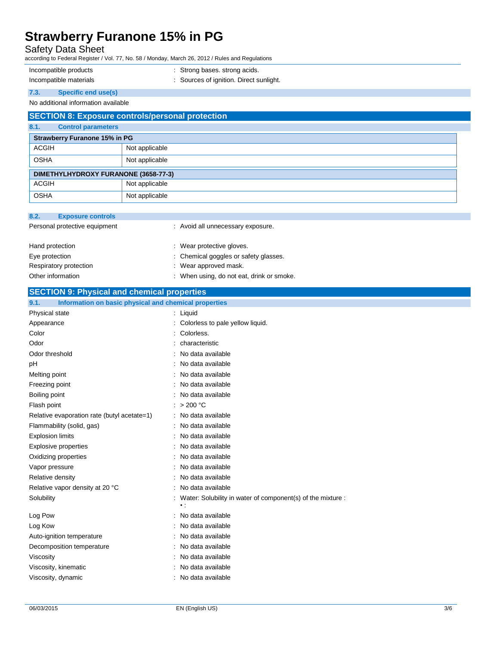### Safety Data Sheet

according to Federal Register / Vol. 77, No. 58 / Monday, March 26, 2012 / Rules and Regulations

- 
- Incompatible products : Strong bases. strong acids.

- 
- Incompatible materials **incompatible materials** : Sources of ignition. Direct sunlight.
- **7.3. Specific end use(s)**

### No additional information available

| <b>SECTION 8: Exposure controls/personal protection</b> |                |  |  |
|---------------------------------------------------------|----------------|--|--|
| 8.1.<br><b>Control parameters</b>                       |                |  |  |
| <b>Strawberry Furanone 15% in PG</b>                    |                |  |  |
| <b>ACGIH</b>                                            | Not applicable |  |  |
| <b>OSHA</b>                                             | Not applicable |  |  |
| DIMETHYLHYDROXY FURANONE (3658-77-3)                    |                |  |  |
| <b>ACGIH</b>                                            | Not applicable |  |  |
| <b>OSHA</b>                                             | Not applicable |  |  |

| 8.2.              | <b>Exposure controls</b>      |                                           |
|-------------------|-------------------------------|-------------------------------------------|
|                   | Personal protective equipment | : Avoid all unnecessary exposure.         |
| Hand protection   |                               | : Wear protective gloves.                 |
| Eye protection    |                               | : Chemical goggles or safety glasses.     |
|                   | Respiratory protection        | : Wear approved mask.                     |
| Other information |                               | : When using, do not eat, drink or smoke. |

### **SECTION 9: Physical and chemical properties**

| 9.1.<br>Information on basic physical and chemical properties |                                                                              |
|---------------------------------------------------------------|------------------------------------------------------------------------------|
| Physical state                                                | $:$ Liquid                                                                   |
| Appearance                                                    | : Colorless to pale yellow liquid.                                           |
| Color                                                         | Colorless.                                                                   |
| Odor                                                          | characteristic                                                               |
| Odor threshold                                                | : No data available                                                          |
| pH                                                            | No data available                                                            |
| Melting point                                                 | : No data available                                                          |
| Freezing point                                                | : No data available                                                          |
| Boiling point                                                 | No data available                                                            |
| Flash point                                                   | : $> 200 °C$                                                                 |
| Relative evaporation rate (butyl acetate=1)                   | : No data available                                                          |
| Flammability (solid, gas)                                     | : No data available                                                          |
| <b>Explosion limits</b>                                       | : No data available                                                          |
| <b>Explosive properties</b>                                   | : No data available                                                          |
| Oxidizing properties                                          | No data available                                                            |
| Vapor pressure                                                | : No data available                                                          |
| Relative density                                              | No data available                                                            |
| Relative vapor density at 20 °C                               | : No data available                                                          |
| Solubility                                                    | : Water: Solubility in water of component(s) of the mixture :<br>$\bullet$ : |
| Log Pow                                                       | : No data available                                                          |
| Log Kow                                                       | : No data available                                                          |
| Auto-ignition temperature                                     | : No data available                                                          |
| Decomposition temperature                                     | No data available                                                            |
| Viscosity                                                     | : No data available                                                          |
| Viscosity, kinematic                                          | No data available                                                            |
| Viscosity, dynamic                                            | : No data available                                                          |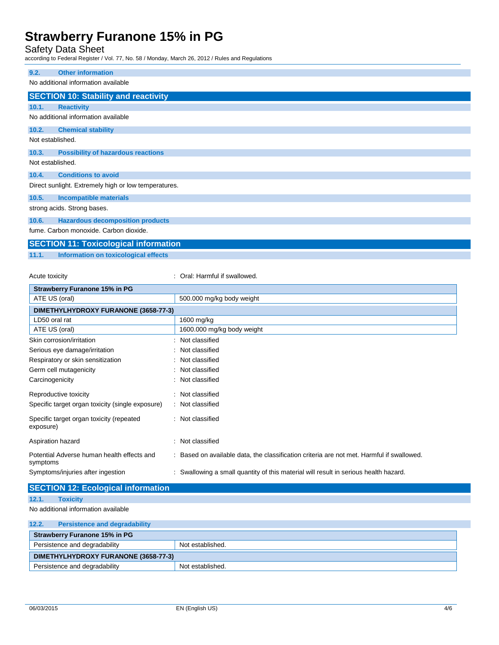Safety Data Sheet

according to Federal Register / Vol. 77, No. 58 / Monday, March 26, 2012 / Rules and Regulations

| 9.2.             | <b>Other information</b>                             |
|------------------|------------------------------------------------------|
|                  | No additional information available                  |
|                  | <b>SECTION 10: Stability and reactivity</b>          |
| 10.1.            | <b>Reactivity</b>                                    |
|                  | No additional information available                  |
| 10.2.            | <b>Chemical stability</b>                            |
| Not established. |                                                      |
| 10.3.            | <b>Possibility of hazardous reactions</b>            |
| Not established. |                                                      |
| 10.4.            | <b>Conditions to avoid</b>                           |
|                  | Direct sunlight. Extremely high or low temperatures. |
| 10.5.            | <b>Incompatible materials</b>                        |
|                  | strong acids. Strong bases.                          |
| 10.6.            | <b>Hazardous decomposition products</b>              |
|                  | fume. Carbon monoxide. Carbon dioxide.               |

# **SECTION 11: Toxicological information**

**11.1. Information on toxicological effects**

Acute toxicity **in the case of the Caucasian Constanting Constanting Constanting Constanting Constanting Constanting Constanting Constanting Constanting Constanting Constanting Constanting Constanting Constanting Constanti** 

| <b>Strawberry Furanone 15% in PG</b>                   |                                                                                           |
|--------------------------------------------------------|-------------------------------------------------------------------------------------------|
| ATE US (oral)                                          | 500.000 mg/kg body weight                                                                 |
| DIMETHYLHYDROXY FURANONE (3658-77-3)                   |                                                                                           |
| LD50 oral rat                                          | 1600 mg/kg                                                                                |
| ATE US (oral)                                          | 1600.000 mg/kg body weight                                                                |
| Skin corrosion/irritation                              | Not classified                                                                            |
| Serious eye damage/irritation                          | : Not classified                                                                          |
| Respiratory or skin sensitization                      | : Not classified                                                                          |
| Germ cell mutagenicity                                 | : Not classified                                                                          |
| Carcinogenicity                                        | : Not classified                                                                          |
| Reproductive toxicity                                  | : Not classified                                                                          |
| Specific target organ toxicity (single exposure)       | : Not classified                                                                          |
| Specific target organ toxicity (repeated<br>exposure)  | : Not classified                                                                          |
| Aspiration hazard                                      | Not classified                                                                            |
| Potential Adverse human health effects and<br>symptoms | : Based on available data, the classification criteria are not met. Harmful if swallowed. |
| Symptoms/injuries after ingestion                      | : Swallowing a small quantity of this material will result in serious health hazard.      |
| <b>SECTION 12: Ecological information</b>              |                                                                                           |

```
12.1. Toxicity
```
No additional information available

| 12.2.                                | <b>Persistence and degradability</b> |                  |
|--------------------------------------|--------------------------------------|------------------|
| <b>Strawberry Furanone 15% in PG</b> |                                      |                  |
|                                      | Persistence and degradability        | Not established. |
| DIMETHYLHYDROXY FURANONE (3658-77-3) |                                      |                  |
|                                      | Persistence and degradability        | Not established. |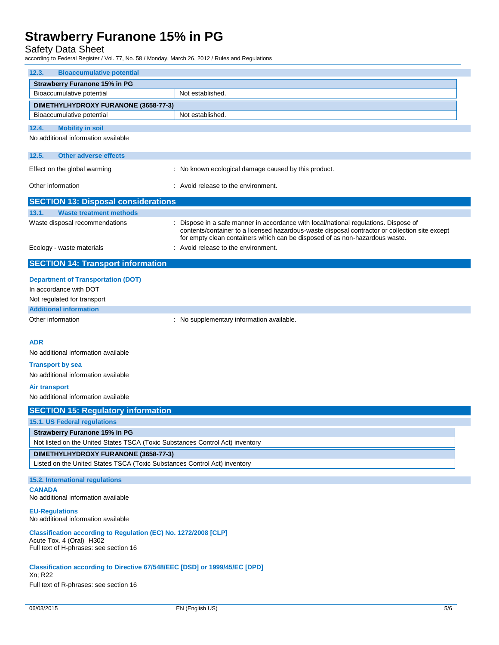### Safety Data Sheet

according to Federal Register / Vol. 77, No. 58 / Monday, March 26, 2012 / Rules and Regulations

| 12.3.<br><b>Bioaccumulative potential</b>                                                                                             |                                                                                                                                                                                                                                                                     |  |  |
|---------------------------------------------------------------------------------------------------------------------------------------|---------------------------------------------------------------------------------------------------------------------------------------------------------------------------------------------------------------------------------------------------------------------|--|--|
| <b>Strawberry Furanone 15% in PG</b><br>Bioaccumulative potential                                                                     | Not established.                                                                                                                                                                                                                                                    |  |  |
|                                                                                                                                       |                                                                                                                                                                                                                                                                     |  |  |
| DIMETHYLHYDROXY FURANONE (3658-77-3)<br>Bioaccumulative potential                                                                     | Not established.                                                                                                                                                                                                                                                    |  |  |
|                                                                                                                                       |                                                                                                                                                                                                                                                                     |  |  |
| 12.4.<br><b>Mobility in soil</b>                                                                                                      |                                                                                                                                                                                                                                                                     |  |  |
| No additional information available                                                                                                   |                                                                                                                                                                                                                                                                     |  |  |
| 12.5.<br><b>Other adverse effects</b>                                                                                                 |                                                                                                                                                                                                                                                                     |  |  |
| Effect on the global warming                                                                                                          | : No known ecological damage caused by this product.                                                                                                                                                                                                                |  |  |
| Other information                                                                                                                     | : Avoid release to the environment.                                                                                                                                                                                                                                 |  |  |
| <b>SECTION 13: Disposal considerations</b>                                                                                            |                                                                                                                                                                                                                                                                     |  |  |
| 13.1.<br><b>Waste treatment methods</b>                                                                                               |                                                                                                                                                                                                                                                                     |  |  |
| Waste disposal recommendations                                                                                                        | Dispose in a safe manner in accordance with local/national regulations. Dispose of<br>contents/container to a licensed hazardous-waste disposal contractor or collection site except<br>for empty clean containers which can be disposed of as non-hazardous waste. |  |  |
| Ecology - waste materials                                                                                                             | : Avoid release to the environment.                                                                                                                                                                                                                                 |  |  |
| <b>SECTION 14: Transport information</b>                                                                                              |                                                                                                                                                                                                                                                                     |  |  |
|                                                                                                                                       |                                                                                                                                                                                                                                                                     |  |  |
| <b>Department of Transportation (DOT)</b>                                                                                             |                                                                                                                                                                                                                                                                     |  |  |
| In accordance with DOT                                                                                                                |                                                                                                                                                                                                                                                                     |  |  |
| Not regulated for transport                                                                                                           |                                                                                                                                                                                                                                                                     |  |  |
| <b>Additional information</b>                                                                                                         |                                                                                                                                                                                                                                                                     |  |  |
| Other information                                                                                                                     | : No supplementary information available.                                                                                                                                                                                                                           |  |  |
| <b>ADR</b>                                                                                                                            |                                                                                                                                                                                                                                                                     |  |  |
| No additional information available                                                                                                   |                                                                                                                                                                                                                                                                     |  |  |
|                                                                                                                                       |                                                                                                                                                                                                                                                                     |  |  |
| <b>Transport by sea</b><br>No additional information available                                                                        |                                                                                                                                                                                                                                                                     |  |  |
|                                                                                                                                       |                                                                                                                                                                                                                                                                     |  |  |
| <b>Air transport</b>                                                                                                                  |                                                                                                                                                                                                                                                                     |  |  |
| No additional information available                                                                                                   |                                                                                                                                                                                                                                                                     |  |  |
| <b>SECTION 15: Regulatory information</b>                                                                                             |                                                                                                                                                                                                                                                                     |  |  |
| 15.1. US Federal regulations                                                                                                          |                                                                                                                                                                                                                                                                     |  |  |
| <b>Strawberry Furanone 15% in PG</b>                                                                                                  |                                                                                                                                                                                                                                                                     |  |  |
| Not listed on the United States TSCA (Toxic Substances Control Act) inventory                                                         |                                                                                                                                                                                                                                                                     |  |  |
| DIMETHYLHYDROXY FURANONE (3658-77-3)<br>Listed on the United States TSCA (Toxic Substances Control Act) inventory                     |                                                                                                                                                                                                                                                                     |  |  |
| 15.2. International regulations                                                                                                       |                                                                                                                                                                                                                                                                     |  |  |
| <b>CANADA</b><br>No additional information available                                                                                  |                                                                                                                                                                                                                                                                     |  |  |
| <b>EU-Regulations</b><br>No additional information available                                                                          |                                                                                                                                                                                                                                                                     |  |  |
| Classification according to Regulation (EC) No. 1272/2008 [CLP]<br>Acute Tox. 4 (Oral) H302<br>Full text of H-phrases: see section 16 |                                                                                                                                                                                                                                                                     |  |  |
| Classification according to Directive 67/548/EEC [DSD] or 1999/45/EC [DPD]<br>Xn; R22<br>Full text of R-phrases: see section 16       |                                                                                                                                                                                                                                                                     |  |  |